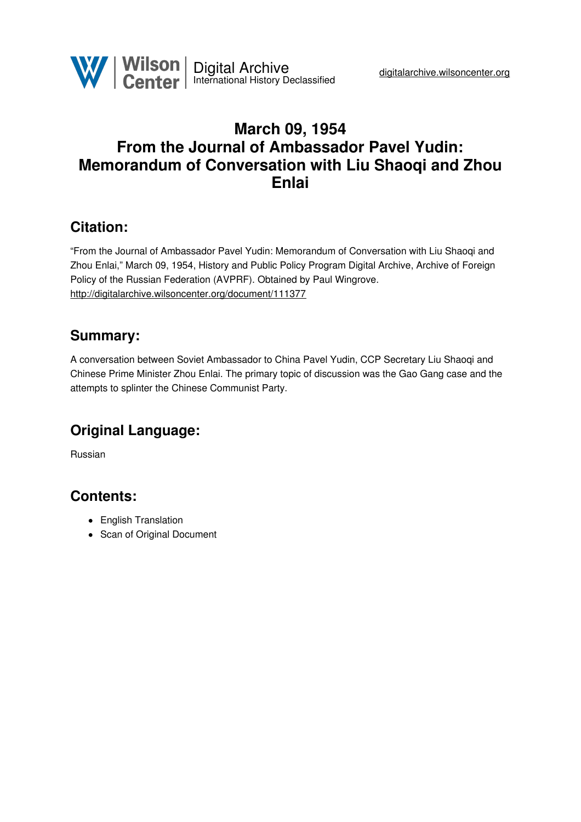

# **March 09, 1954 From the Journal of Ambassador Pavel Yudin: Memorandum of Conversation with Liu Shaoqi and Zhou Enlai**

# **Citation:**

"From the Journal of Ambassador Pavel Yudin: Memorandum of Conversation with Liu Shaoqi and Zhou Enlai," March 09, 1954, History and Public Policy Program Digital Archive, Archive of Foreign Policy of the Russian Federation (AVPRF). Obtained by Paul Wingrove. <http://digitalarchive.wilsoncenter.org/document/111377>

## **Summary:**

A conversation between Soviet Ambassador to China Pavel Yudin, CCP Secretary Liu Shaoqi and Chinese Prime Minister Zhou Enlai. The primary topic of discussion was the Gao Gang case and the attempts to splinter the Chinese Communist Party.

# **Original Language:**

Russian

## **Contents:**

- English Translation
- Scan of Original Document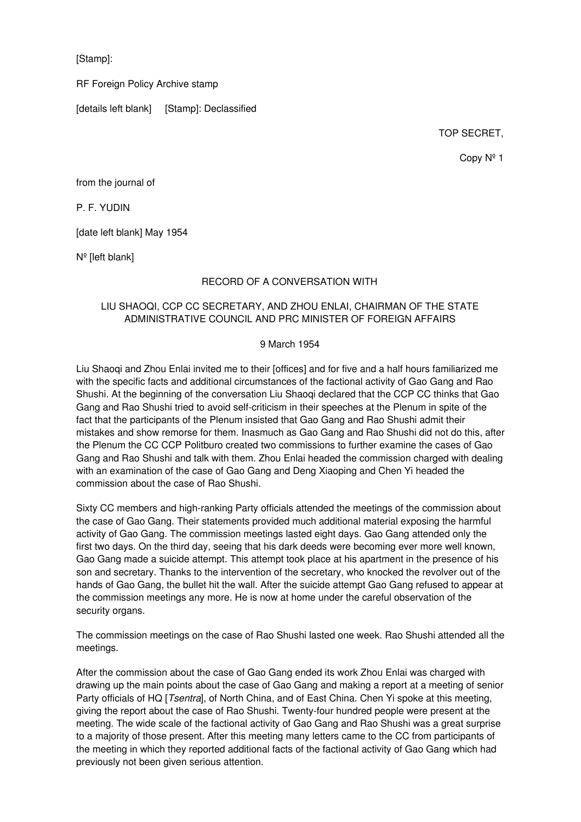[Stamp]:

RF Foreign Policy Archive stamp

[details left blank] [Stamp]: Declassified

TOP SECRET,

Copy Nº 1

from the journal of

P. F. YUDIN

[date left blank] May 1954

Nº [left blank]

#### RECORD OF A CONVERSATION WITH

#### LIU SHAOQI, CCP CC SECRETARY, AND ZHOU ENLAI, CHAIRMAN OF THE STATE ADMINISTRATIVE COUNCIL AND PRC MINISTER OF FOREIGN AFFAIRS

#### 9 March 1954

Liu Shaoqi and Zhou Enlai invited me to their [offices] and for five and a half hours familiarized me with the specific facts and additional circumstances of the factional activity of Gao Gang and Rao Shushi. At the beginning of the conversation Liu Shaogi declared that the CCP CC thinks that Gao Gang and Rao Shushi tried to avoid self-criticism in their speeches at the Plenum in spite of the fact that the participants of the Plenum insisted that Gao Gang and Rao Shushi admit their mistakes and show remorse for them. Inasmuch as Gao Gang and Rao Shushi did not do this, after the Plenum the CC CCP Politburo created two commissions to further examine the cases of Gao Gang and Rao Shushi and talk with them. Zhou Enlai headed the commission charged with dealing with an examination of the case of Gao Gang and Deng Xiaoping and Chen Yi headed the commission about the case of Rao Shushi.

Sixty CC members and high-ranking Party officials attended the meetings of the commission about the case of Gao Gang. Their statements provided much additional material exposing the harmful activity of Gao Gang. The commission meetings lasted eight days. Gao Gang attended only the first two days. On the third day, seeing that his dark deeds were becoming ever more well known, Gao Gang made a suicide attempt. This attempt took place at his apartment in the presence of his son and secretary. Thanks to the intervention of the secretary, who knocked the revolver out of the hands of Gao Gang, the bullet hit the wall. After the suicide attempt Gao Gang refused to appear at the commission meetings any more. He is now at home under the careful observation of the security organs.

The commission meetings on the case of Rao Shushi lasted one week. Rao Shushi attended all the meetings.

After the commission about the case of Gao Gang ended its work Zhou Enlai was charged with drawing up the main points about the case of Gao Gang and making a report at a meeting of senior Party officials of HQ [*Tsentra*], of North China, and of East China. Chen Yi spoke at this meeting, giving the report about the case of Rao Shushi. Twenty-four hundred people were present at the meeting. The wide scale of the factional activity of Gao Gang and Rao Shushi was a great surprise to a majority of those present. After this meeting many letters came to the CC from participants of the meeting in which they reported additional facts of the factional activity of Gao Gang which had previously not been given serious attention.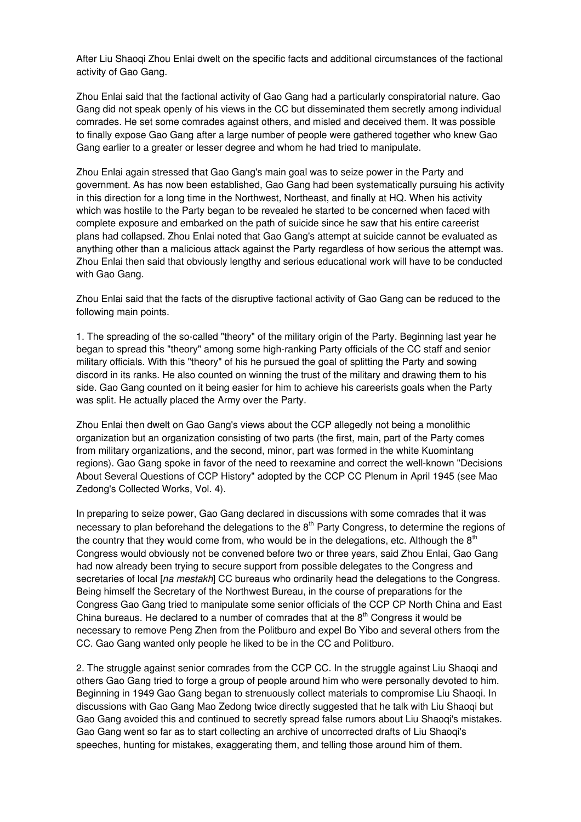After Liu Shaoqi Zhou Enlai dwelt on the specific facts and additional circumstances of the factional activity of Gao Gang.

Zhou Enlai said that the factional activity of Gao Gang had a particularly conspiratorial nature. Gao Gang did not speak openly of his views in the CC but disseminated them secretly among individual comrades. He set some comrades against others, and misled and deceived them. It was possible to finally expose Gao Gang after a large number of people were gathered together who knew Gao Gang earlier to a greater or lesser degree and whom he had tried to manipulate.

Zhou Enlai again stressed that Gao Gang's main goal was to seize power in the Party and government. As has now been established, Gao Gang had been systematically pursuing his activity in this direction for a long time in the Northwest, Northeast, and finally at HQ. When his activity which was hostile to the Party began to be revealed he started to be concerned when faced with complete exposure and embarked on the path of suicide since he saw that his entire careerist plans had collapsed. Zhou Enlai noted that Gao Gang's attempt at suicide cannot be evaluated as anything other than a malicious attack against the Party regardless of how serious the attempt was. Zhou Enlai then said that obviously lengthy and serious educational work will have to be conducted with Gao Gang.

Zhou Enlai said that the facts of the disruptive factional activity of Gao Gang can be reduced to the following main points.

1. The spreading of the so-called "theory" of the military origin of the Party. Beginning last year he began to spread this "theory" among some high-ranking Party officials of the CC staff and senior military officials. With this "theory" of his he pursued the goal of splitting the Party and sowing discord in its ranks. He also counted on winning the trust of the military and drawing them to his side. Gao Gang counted on it being easier for him to achieve his careerists goals when the Party was split. He actually placed the Army over the Party.

Zhou Enlai then dwelt on Gao Gang's views about the CCP allegedly not being a monolithic organization but an organization consisting of two parts (the first, main, part of the Party comes from military organizations, and the second, minor, part was formed in the white Kuomintang regions). Gao Gang spoke in favor of the need to reexamine and correct the well-known "Decisions About Several Questions of CCP History" adopted by the CCP CC Plenum in April 1945 (see Mao Zedong's Collected Works, Vol. 4).

In preparing to seize power, Gao Gang declared in discussions with some comrades that it was necessary to plan beforehand the delegations to the  $8<sup>th</sup>$  Party Congress, to determine the regions of the country that they would come from, who would be in the delegations, etc. Although the  $8<sup>th</sup>$ Congress would obviously not be convened before two or three years, said Zhou Enlai, Gao Gang had now already been trying to secure support from possible delegates to the Congress and secretaries of local [*na mestakh*] CC bureaus who ordinarily head the delegations to the Congress. Being himself the Secretary of the Northwest Bureau, in the course of preparations for the Congress Gao Gang tried to manipulate some senior officials of the CCP CP North China and East China bureaus. He declared to a number of comrades that at the  $8<sup>th</sup>$  Congress it would be necessary to remove Peng Zhen from the Politburo and expel Bo Yibo and several others from the CC. Gao Gang wanted only people he liked to be in the CC and Politburo.

2. The struggle against senior comrades from the CCP CC. In the struggle against Liu Shaoqi and others Gao Gang tried to forge a group of people around him who were personally devoted to him. Beginning in 1949 Gao Gang began to strenuously collect materials to compromise Liu Shaoqi. In discussions with Gao Gang Mao Zedong twice directly suggested that he talk with Liu Shaoqi but Gao Gang avoided this and continued to secretly spread false rumors about Liu Shaoqi's mistakes. Gao Gang went so far as to start collecting an archive of uncorrected drafts of Liu Shaoqi's speeches, hunting for mistakes, exaggerating them, and telling those around him of them.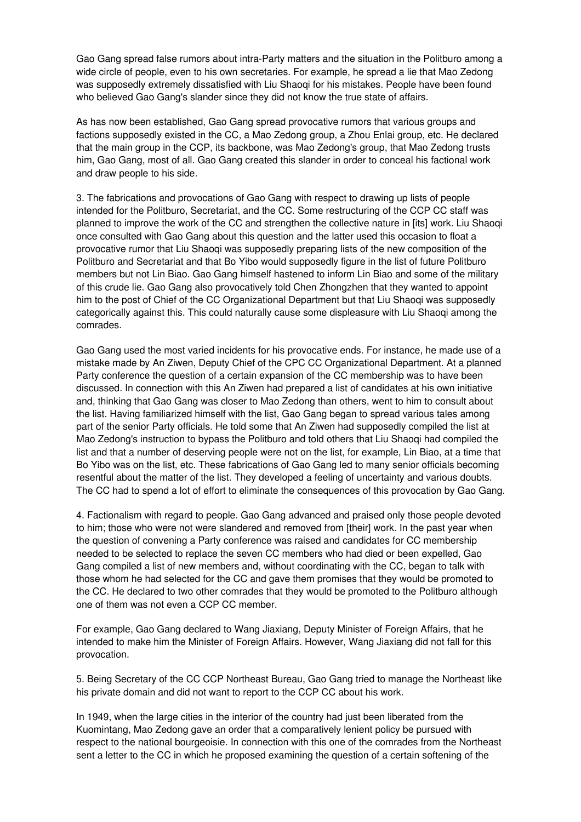Gao Gang spread false rumors about intra-Party matters and the situation in the Politburo among a wide circle of people, even to his own secretaries. For example, he spread a lie that Mao Zedong was supposedly extremely dissatisfied with Liu Shaoqi for his mistakes. People have been found who believed Gao Gang's slander since they did not know the true state of affairs.

As has now been established, Gao Gang spread provocative rumors that various groups and factions supposedly existed in the CC, a Mao Zedong group, a Zhou Enlai group, etc. He declared that the main group in the CCP, its backbone, was Mao Zedong's group, that Mao Zedong trusts him, Gao Gang, most of all. Gao Gang created this slander in order to conceal his factional work and draw people to his side.

3. The fabrications and provocations of Gao Gang with respect to drawing up lists of people intended for the Politburo, Secretariat, and the CC. Some restructuring of the CCP CC staff was planned to improve the work of the CC and strengthen the collective nature in [its] work. Liu Shaoqi once consulted with Gao Gang about this question and the latter used this occasion to float a provocative rumor that Liu Shaoqi was supposedly preparing lists of the new composition of the Politburo and Secretariat and that Bo Yibo would supposedly figure in the list of future Politburo members but not Lin Biao. Gao Gang himself hastened to inform Lin Biao and some of the military of this crude lie. Gao Gang also provocatively told Chen Zhongzhen that they wanted to appoint him to the post of Chief of the CC Organizational Department but that Liu Shaoqi was supposedly categorically against this. This could naturally cause some displeasure with Liu Shaoqi among the comrades.

Gao Gang used the most varied incidents for his provocative ends. For instance, he made use of a mistake made by An Ziwen, Deputy Chief of the CPC CC Organizational Department. At a planned Party conference the question of a certain expansion of the CC membership was to have been discussed. In connection with this An Ziwen had prepared a list of candidates at his own initiative and, thinking that Gao Gang was closer to Mao Zedong than others, went to him to consult about the list. Having familiarized himself with the list, Gao Gang began to spread various tales among part of the senior Party officials. He told some that An Ziwen had supposedly compiled the list at Mao Zedong's instruction to bypass the Politburo and told others that Liu Shaoqi had compiled the list and that a number of deserving people were not on the list, for example, Lin Biao, at a time that Bo Yibo was on the list, etc. These fabrications of Gao Gang led to many senior officials becoming resentful about the matter of the list. They developed a feeling of uncertainty and various doubts. The CC had to spend a lot of effort to eliminate the consequences of this provocation by Gao Gang.

4. Factionalism with regard to people. Gao Gang advanced and praised only those people devoted to him; those who were not were slandered and removed from [their] work. In the past year when the question of convening a Party conference was raised and candidates for CC membership needed to be selected to replace the seven CC members who had died or been expelled, Gao Gang compiled a list of new members and, without coordinating with the CC, began to talk with those whom he had selected for the CC and gave them promises that they would be promoted to the CC. He declared to two other comrades that they would be promoted to the Politburo although one of them was not even a CCP CC member.

For example, Gao Gang declared to Wang Jiaxiang, Deputy Minister of Foreign Affairs, that he intended to make him the Minister of Foreign Affairs. However, Wang Jiaxiang did not fall for this provocation.

5. Being Secretary of the CC CCP Northeast Bureau, Gao Gang tried to manage the Northeast like his private domain and did not want to report to the CCP CC about his work.

In 1949, when the large cities in the interior of the country had just been liberated from the Kuomintang, Mao Zedong gave an order that a comparatively lenient policy be pursued with respect to the national bourgeoisie. In connection with this one of the comrades from the Northeast sent a letter to the CC in which he proposed examining the question of a certain softening of the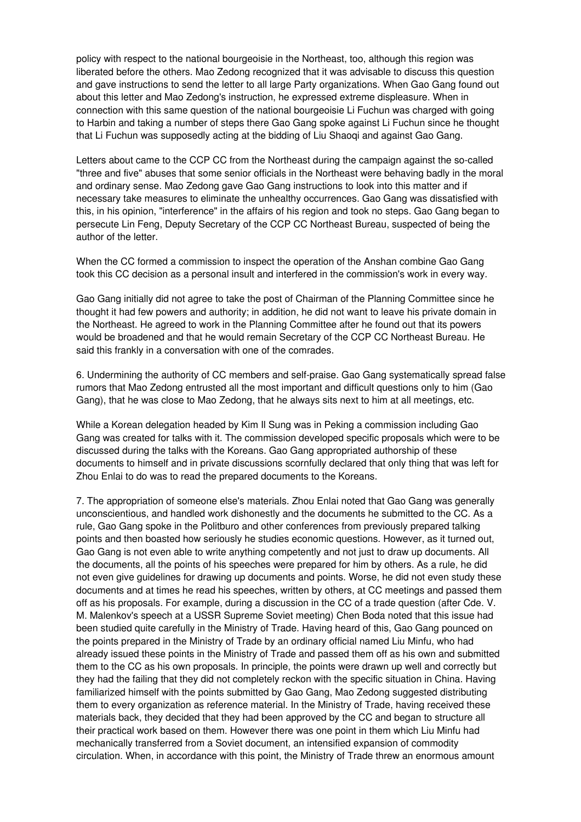policy with respect to the national bourgeoisie in the Northeast, too, although this region was liberated before the others. Mao Zedong recognized that it was advisable to discuss this question and gave instructions to send the letter to all large Party organizations. When Gao Gang found out about this letter and Mao Zedong's instruction, he expressed extreme displeasure. When in connection with this same question of the national bourgeoisie Li Fuchun was charged with going to Harbin and taking a number of steps there Gao Gang spoke against Li Fuchun since he thought that Li Fuchun was supposedly acting at the bidding of Liu Shaoqi and against Gao Gang.

Letters about came to the CCP CC from the Northeast during the campaign against the so-called "three and five" abuses that some senior officials in the Northeast were behaving badly in the moral and ordinary sense. Mao Zedong gave Gao Gang instructions to look into this matter and if necessary take measures to eliminate the unhealthy occurrences. Gao Gang was dissatisfied with this, in his opinion, "interference" in the affairs of his region and took no steps. Gao Gang began to persecute Lin Feng, Deputy Secretary of the CCP CC Northeast Bureau, suspected of being the author of the letter.

When the CC formed a commission to inspect the operation of the Anshan combine Gao Gang took this CC decision as a personal insult and interfered in the commission's work in every way.

Gao Gang initially did not agree to take the post of Chairman of the Planning Committee since he thought it had few powers and authority; in addition, he did not want to leave his private domain in the Northeast. He agreed to work in the Planning Committee after he found out that its powers would be broadened and that he would remain Secretary of the CCP CC Northeast Bureau. He said this frankly in a conversation with one of the comrades.

6. Undermining the authority of CC members and self-praise. Gao Gang systematically spread false rumors that Mao Zedong entrusted all the most important and difficult questions only to him (Gao Gang), that he was close to Mao Zedong, that he always sits next to him at all meetings, etc.

While a Korean delegation headed by Kim Il Sung was in Peking a commission including Gao Gang was created for talks with it. The commission developed specific proposals which were to be discussed during the talks with the Koreans. Gao Gang appropriated authorship of these documents to himself and in private discussions scornfully declared that only thing that was left for Zhou Enlai to do was to read the prepared documents to the Koreans.

7. The appropriation of someone else's materials. Zhou Enlai noted that Gao Gang was generally unconscientious, and handled work dishonestly and the documents he submitted to the CC. As a rule, Gao Gang spoke in the Politburo and other conferences from previously prepared talking points and then boasted how seriously he studies economic questions. However, as it turned out, Gao Gang is not even able to write anything competently and not just to draw up documents. All the documents, all the points of his speeches were prepared for him by others. As a rule, he did not even give guidelines for drawing up documents and points. Worse, he did not even study these documents and at times he read his speeches, written by others, at CC meetings and passed them off as his proposals. For example, during a discussion in the CC of a trade question (after Cde. V. M. Malenkov's speech at a USSR Supreme Soviet meeting) Chen Boda noted that this issue had been studied quite carefully in the Ministry of Trade. Having heard of this, Gao Gang pounced on the points prepared in the Ministry of Trade by an ordinary official named Liu Minfu, who had already issued these points in the Ministry of Trade and passed them off as his own and submitted them to the CC as his own proposals. In principle, the points were drawn up well and correctly but they had the failing that they did not completely reckon with the specific situation in China. Having familiarized himself with the points submitted by Gao Gang, Mao Zedong suggested distributing them to every organization as reference material. In the Ministry of Trade, having received these materials back, they decided that they had been approved by the CC and began to structure all their practical work based on them. However there was one point in them which Liu Minfu had mechanically transferred from a Soviet document, an intensified expansion of commodity circulation. When, in accordance with this point, the Ministry of Trade threw an enormous amount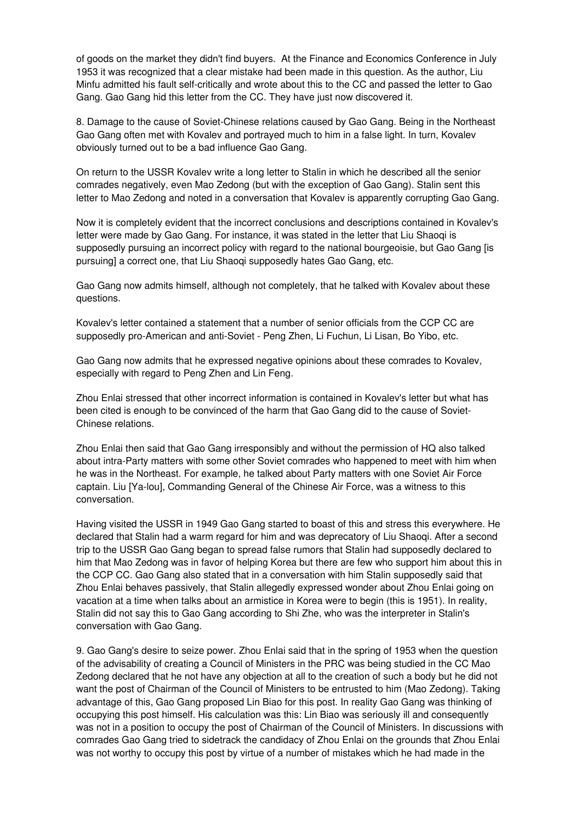of goods on the market they didn't find buyers. At the Finance and Economics Conference in July 1953 it was recognized that a clear mistake had been made in this question. As the author, Liu Minfu admitted his fault self-critically and wrote about this to the CC and passed the letter to Gao Gang. Gao Gang hid this letter from the CC. They have just now discovered it.

8. Damage to the cause of Soviet-Chinese relations caused by Gao Gang. Being in the Northeast Gao Gang often met with Kovalev and portrayed much to him in a false light. In turn, Kovalev obviously turned out to be a bad influence Gao Gang.

On return to the USSR Kovalev write a long letter to Stalin in which he described all the senior comrades negatively, even Mao Zedong (but with the exception of Gao Gang). Stalin sent this letter to Mao Zedong and noted in a conversation that Kovalev is apparently corrupting Gao Gang.

Now it is completely evident that the incorrect conclusions and descriptions contained in Kovalev's letter were made by Gao Gang. For instance, it was stated in the letter that Liu Shaoqi is supposedly pursuing an incorrect policy with regard to the national bourgeoisie, but Gao Gang [is pursuing] a correct one, that Liu Shaoqi supposedly hates Gao Gang, etc.

Gao Gang now admits himself, although not completely, that he talked with Kovalev about these questions.

Kovalev's letter contained a statement that a number of senior officials from the CCP CC are supposedly pro-American and anti-Soviet - Peng Zhen, Li Fuchun, Li Lisan, Bo Yibo, etc.

Gao Gang now admits that he expressed negative opinions about these comrades to Kovalev, especially with regard to Peng Zhen and Lin Feng.

Zhou Enlai stressed that other incorrect information is contained in Kovalev's letter but what has been cited is enough to be convinced of the harm that Gao Gang did to the cause of Soviet-Chinese relations.

Zhou Enlai then said that Gao Gang irresponsibly and without the permission of HQ also talked about intra-Party matters with some other Soviet comrades who happened to meet with him when he was in the Northeast. For example, he talked about Party matters with one Soviet Air Force captain. Liu [Ya-lou], Commanding General of the Chinese Air Force, was a witness to this conversation.

Having visited the USSR in 1949 Gao Gang started to boast of this and stress this everywhere. He declared that Stalin had a warm regard for him and was deprecatory of Liu Shaoqi. After a second trip to the USSR Gao Gang began to spread false rumors that Stalin had supposedly declared to him that Mao Zedong was in favor of helping Korea but there are few who support him about this in the CCP CC. Gao Gang also stated that in a conversation with him Stalin supposedly said that Zhou Enlai behaves passively, that Stalin allegedly expressed wonder about Zhou Enlai going on vacation at a time when talks about an armistice in Korea were to begin (this is 1951). In reality, Stalin did not say this to Gao Gang according to Shi Zhe, who was the interpreter in Stalin's conversation with Gao Gang.

9. Gao Gang's desire to seize power. Zhou Enlai said that in the spring of 1953 when the question of the advisability of creating a Council of Ministers in the PRC was being studied in the CC Mao Zedong declared that he not have any objection at all to the creation of such a body but he did not want the post of Chairman of the Council of Ministers to be entrusted to him (Mao Zedong). Taking advantage of this, Gao Gang proposed Lin Biao for this post. In reality Gao Gang was thinking of occupying this post himself. His calculation was this: Lin Biao was seriously ill and consequently was not in a position to occupy the post of Chairman of the Council of Ministers. In discussions with comrades Gao Gang tried to sidetrack the candidacy of Zhou Enlai on the grounds that Zhou Enlai was not worthy to occupy this post by virtue of a number of mistakes which he had made in the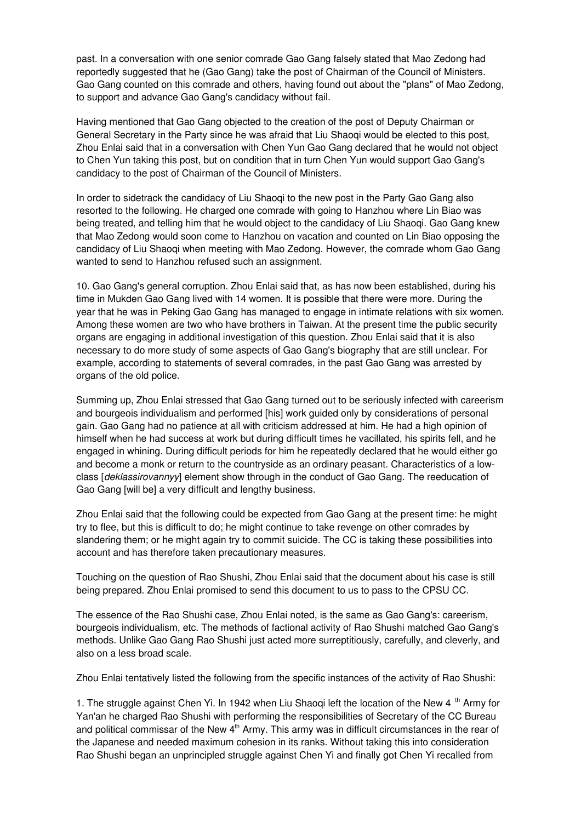past. In a conversation with one senior comrade Gao Gang falsely stated that Mao Zedong had reportedly suggested that he (Gao Gang) take the post of Chairman of the Council of Ministers. Gao Gang counted on this comrade and others, having found out about the "plans" of Mao Zedong, to support and advance Gao Gang's candidacy without fail.

Having mentioned that Gao Gang objected to the creation of the post of Deputy Chairman or General Secretary in the Party since he was afraid that Liu Shaoqi would be elected to this post, Zhou Enlai said that in a conversation with Chen Yun Gao Gang declared that he would not object to Chen Yun taking this post, but on condition that in turn Chen Yun would support Gao Gang's candidacy to the post of Chairman of the Council of Ministers.

In order to sidetrack the candidacy of Liu Shaoqi to the new post in the Party Gao Gang also resorted to the following. He charged one comrade with going to Hanzhou where Lin Biao was being treated, and telling him that he would object to the candidacy of Liu Shaoqi. Gao Gang knew that Mao Zedong would soon come to Hanzhou on vacation and counted on Lin Biao opposing the candidacy of Liu Shaoqi when meeting with Mao Zedong. However, the comrade whom Gao Gang wanted to send to Hanzhou refused such an assignment.

10. Gao Gang's general corruption. Zhou Enlai said that, as has now been established, during his time in Mukden Gao Gang lived with 14 women. It is possible that there were more. During the year that he was in Peking Gao Gang has managed to engage in intimate relations with six women. Among these women are two who have brothers in Taiwan. At the present time the public security organs are engaging in additional investigation of this question. Zhou Enlai said that it is also necessary to do more study of some aspects of Gao Gang's biography that are still unclear. For example, according to statements of several comrades, in the past Gao Gang was arrested by organs of the old police.

Summing up, Zhou Enlai stressed that Gao Gang turned out to be seriously infected with careerism and bourgeois individualism and performed [his] work guided only by considerations of personal gain. Gao Gang had no patience at all with criticism addressed at him. He had a high opinion of himself when he had success at work but during difficult times he vacillated, his spirits fell, and he engaged in whining. During difficult periods for him he repeatedly declared that he would either go and become a monk or return to the countryside as an ordinary peasant. Characteristics of a lowclass [*deklassirovannyy*] element show through in the conduct of Gao Gang. The reeducation of Gao Gang [will be] a very difficult and lengthy business.

Zhou Enlai said that the following could be expected from Gao Gang at the present time: he might try to flee, but this is difficult to do; he might continue to take revenge on other comrades by slandering them; or he might again try to commit suicide. The CC is taking these possibilities into account and has therefore taken precautionary measures.

Touching on the question of Rao Shushi, Zhou Enlai said that the document about his case is still being prepared. Zhou Enlai promised to send this document to us to pass to the CPSU CC.

The essence of the Rao Shushi case, Zhou Enlai noted, is the same as Gao Gang's: careerism, bourgeois individualism, etc. The methods of factional activity of Rao Shushi matched Gao Gang's methods. Unlike Gao Gang Rao Shushi just acted more surreptitiously, carefully, and cleverly, and also on a less broad scale.

Zhou Enlai tentatively listed the following from the specific instances of the activity of Rao Shushi:

1. The struggle against Chen Yi. In 1942 when Liu Shaoqi left the location of the New 4 <sup>th</sup> Army for Yan'an he charged Rao Shushi with performing the responsibilities of Secretary of the CC Bureau and political commissar of the New  $4<sup>th</sup>$  Army. This army was in difficult circumstances in the rear of the Japanese and needed maximum cohesion in its ranks. Without taking this into consideration Rao Shushi began an unprincipled struggle against Chen Yi and finally got Chen Yi recalled from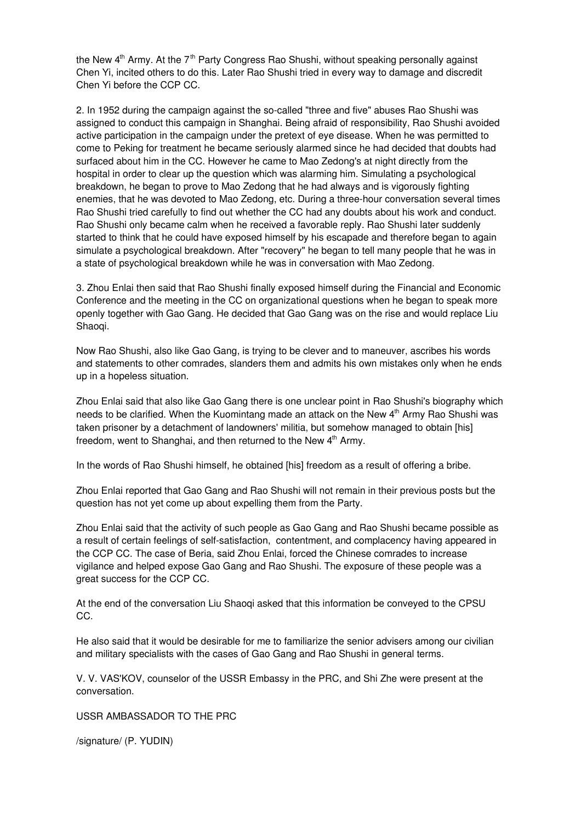the New 4<sup>th</sup> Army. At the 7<sup>th</sup> Party Congress Rao Shushi, without speaking personally against Chen Yi, incited others to do this. Later Rao Shushi tried in every way to damage and discredit Chen Yi before the CCP CC.

2. In 1952 during the campaign against the so-called "three and five" abuses Rao Shushi was assigned to conduct this campaign in Shanghai. Being afraid of responsibility, Rao Shushi avoided active participation in the campaign under the pretext of eye disease. When he was permitted to come to Peking for treatment he became seriously alarmed since he had decided that doubts had surfaced about him in the CC. However he came to Mao Zedong's at night directly from the hospital in order to clear up the question which was alarming him. Simulating a psychological breakdown, he began to prove to Mao Zedong that he had always and is vigorously fighting enemies, that he was devoted to Mao Zedong, etc. During a three-hour conversation several times Rao Shushi tried carefully to find out whether the CC had any doubts about his work and conduct. Rao Shushi only became calm when he received a favorable reply. Rao Shushi later suddenly started to think that he could have exposed himself by his escapade and therefore began to again simulate a psychological breakdown. After "recovery" he began to tell many people that he was in a state of psychological breakdown while he was in conversation with Mao Zedong.

3. Zhou Enlai then said that Rao Shushi finally exposed himself during the Financial and Economic Conference and the meeting in the CC on organizational questions when he began to speak more openly together with Gao Gang. He decided that Gao Gang was on the rise and would replace Liu Shaoqi.

Now Rao Shushi, also like Gao Gang, is trying to be clever and to maneuver, ascribes his words and statements to other comrades, slanders them and admits his own mistakes only when he ends up in a hopeless situation.

Zhou Enlai said that also like Gao Gang there is one unclear point in Rao Shushi's biography which needs to be clarified. When the Kuomintang made an attack on the New 4<sup>th</sup> Army Rao Shushi was taken prisoner by a detachment of landowners' militia, but somehow managed to obtain [his] freedom, went to Shanghai, and then returned to the New 4<sup>th</sup> Army.

In the words of Rao Shushi himself, he obtained [his] freedom as a result of offering a bribe.

Zhou Enlai reported that Gao Gang and Rao Shushi will not remain in their previous posts but the question has not yet come up about expelling them from the Party.

Zhou Enlai said that the activity of such people as Gao Gang and Rao Shushi became possible as a result of certain feelings of self-satisfaction, contentment, and complacency having appeared in the CCP CC. The case of Beria, said Zhou Enlai, forced the Chinese comrades to increase vigilance and helped expose Gao Gang and Rao Shushi. The exposure of these people was a great success for the CCP CC.

At the end of the conversation Liu Shaoqi asked that this information be conveyed to the CPSU CC.

He also said that it would be desirable for me to familiarize the senior advisers among our civilian and military specialists with the cases of Gao Gang and Rao Shushi in general terms.

V. V. VAS'KOV, counselor of the USSR Embassy in the PRC, and Shi Zhe were present at the conversation.

USSR AMBASSADOR TO THE PRC

/signature/ (P. YUDIN)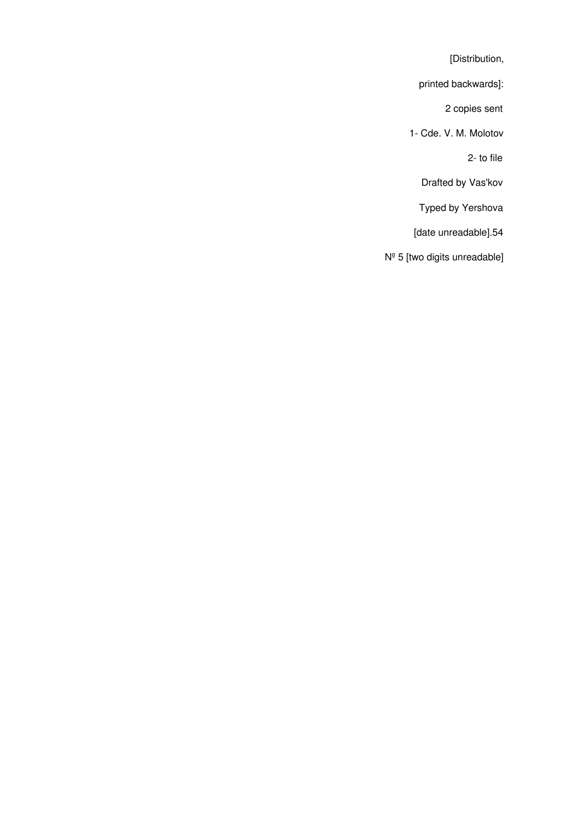[Distribution,

printed backwards]:

2 copies sent

1- Cde. V. M. Molotov

2- to file

Drafted by Vas'kov

Typed by Yershova

[date unreadable].54

Nº 5 [two digits unreadable]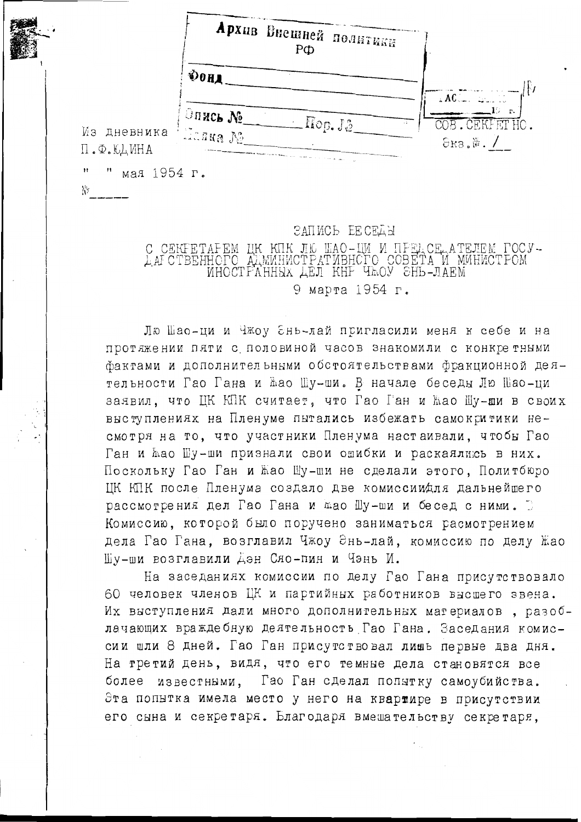|                          | Архив Внешней политики<br>$P\Phi$        |                                              |
|--------------------------|------------------------------------------|----------------------------------------------|
|                          | <b>OOH</b>                               | $AC$ .                                       |
| Из дневника<br>П.Ф.ЮДИНА | Эпись №<br>$\perp$ Hop. J.2<br>/ Данна № | $\mathbf{r}$ .<br>COB. CEKFETHO.<br>Экз.№. / |

ΝY

### ЗАПИСЬ ЕЕ СЕДЫ

C CEKFETAFEM UK KIK JIČ IMAO-IM M ITFELCE ATEJEM POCY-LAFCTBEHHOPO ALMMHMCTPATMBHCPO COBETA M MMHMCTPOM MHOCTFAHHEX LEJI KHF THOY SHL-JIAEM 9 марта 1954 г.

Лю Шао-ци и Чжоу Энь-лай пригласили меня к себе и на протяжении пяти с половиной часов знакомили с конкретными фактами и дополнительными обстоятельствами фракционной деятельности Гао Гана и жао Шу-ши. В начале беседы Лю Шао-ци заявил, что ЦК КПК считает, что Гао Ган и Жао Шу-ши в своих выступлениях на Пленуме пытались избежать самокритики несмотря на то, что участники Пленума настаивали, чтобы Гао Ган и жао Шу-ши признали свои ошибки и раскаялию в них. Поскольку Гао Ган и Жао Шу-ши не сделали этого, Политбюро ИК КПК после Пленума создало две комиссиидля дальнейшего рассмотрения дел Гао Гана и мао Шу-ши и бесед с ними. Комиссию, которой было поручено заниматься расмотрением дела Гао Гана, возглавил Чжоу Энь-лай, комиссию по делу Жао Шу-ши возглавили Дэн Сяо-пин и Чэнь И.

На заседаниях комиссии по делу Гао Гана присутствовало 60 человек членов ЦК и партийных работников высшего звена. Их выступления дали много дополнительных материалов, разоблачающих враждебную деятельность Гао Гана. Заседания комиссии шли 8 дней. Гао Ган присутствовал лишь первые два дня. На третий день, видя, что его темные дела становятся все известными. Гао Ган сделал попытку самоубийства. более Эта попытка имела место у него на квартире в присутствии его сына и секретаря. Благодаря вмешательству секретаря.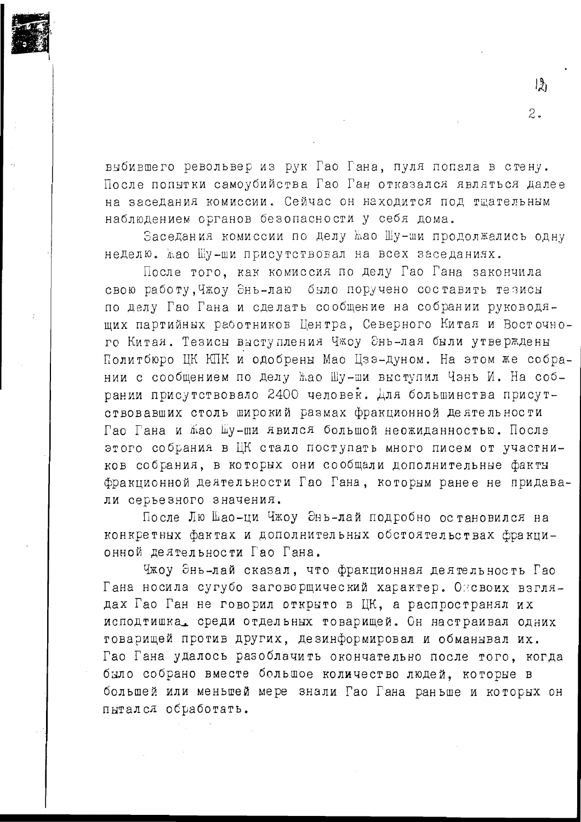выбившего револьвер из рук Гао Гана, пуля попала в стену. После попытки самоубийства Гао Ган отказался являться далее на заседания комиссии. Сейчас он находится под тшательным наблюдением органов безопасности у себя дома.

Заседания комиссии по делу ћао Шу-ши продолжались одну неделю. жао Шу-ши присутствовал на всех заседаниях.

После того, как комиссия по делу Гао Гана закончила свою работу, Чжоу Энь-лаю было поручено составить тезисы по делу Гао Гана и сделать сообщение на собрании руководящих партийных работников Центра, Северного Китая и Восточного Китая. Тезисы выступления Чжоу Энь-лая были утверждены Политбюро ЦК КПК и одобрены Мао Цзэ-дуном. На этом же собрании с сообщением по делу Жао Шу-ши выступил Чэнь И. На собрании присутствовало 2400 человек. Для большинства присутствовавших столь широкий размах фракционной деятельности Гао Гана и мао Шу-ши явился большой неожиданностью. После этого собрания в ЦК стало поступать много писем от участников собрания, в которых они сообщали дополнительные факты фракционной деятельности Гао Гана, которым ранее не придавали серьезного значения.

После Лю Шао-ци Чжоу Энь-лай подробно остановился на конкретных фактах и дополнительных обстоятельствах фракционной деятельности Гао Гана.

Чжоу Энь-лай сказал, что фракционная деятельность Гао Гана носила сугубо заговорщический характер. Оневоих взглядах Гао Ган не говорил открыто в ЦК, а распространял их исподтишка, среди отдельных товарищей. Он настраивал одних товарищей против других, дезинформировал и обманывал их. Гао Гана удалось разоблачить окончательно после того, когда было собрано вместе большое количество людей, которые в большей или меньшей мере знали Гао Гана раньше и которых он пытался обработать.

 $\mathbb{R}$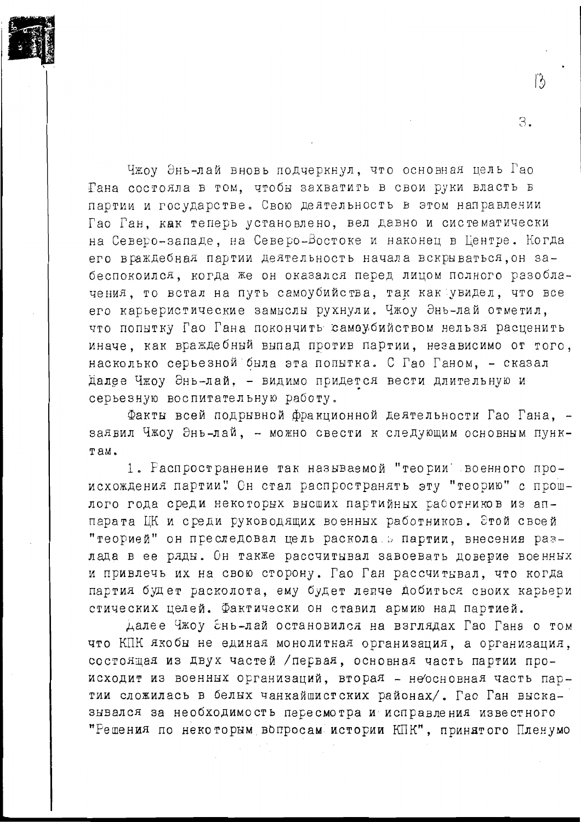

З.

Факты всей подрывной фракционной деятельности Гао Гана, заявил Чжоу Энь-лай, - можно свести к следующим основным пунк-Tam.

1. Распространение так называемой "теории" военного происхождения партии" Он стал распространять эту "теорию" с прошлого года среди некоторых высших партийных работников из аппарата ЦК и среди руководящих военных работников. Этой свсей "теорией" он преследовал цель раскола в партии, внесения разлада в ее ряды. Он также рассчитывал завоевать доверие военных и привлечь их на свою сторону. Гао Ган рассчитывал, что когда партия будет расколота, ему будет лепче добиться своих карьери стических целей. Фактически он ставил армию над партией.

Далее Чжоу Ень-лай остановился на взглядах Гао Гана о том что КПК якобы не единая монолитная организация, а организация, состоящая из двух частей /первая, основная часть партии происходит из военных организаций, вторая - неосновная часть партии сложилась в белых чанкайшистских районах/. Гао Ган высказнвался за необходимость пересмотра и исправления известного "Решения по некоторым вопросам истории КПК", принятого Пленумо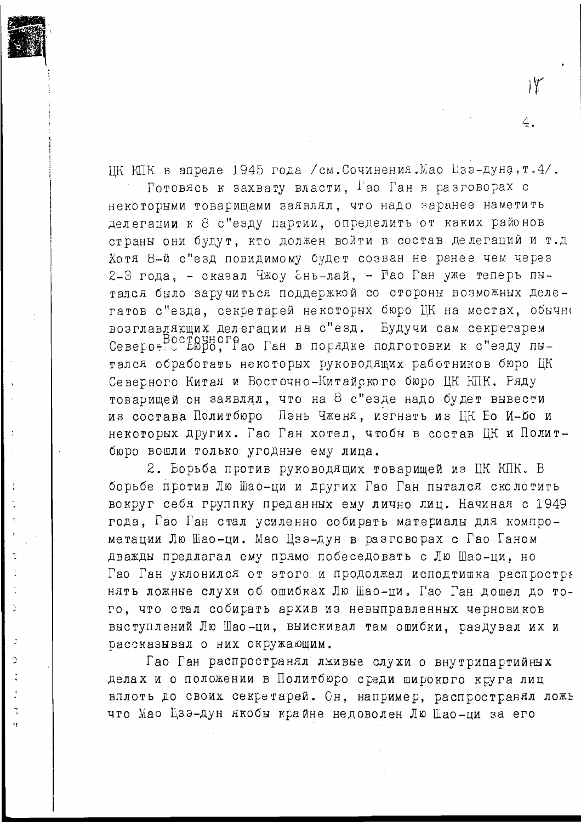ЦК КПК в апреле 1945 года /см. Сочинения. Мао Цзэ-дуна, т. 4/.

Готовясь к захвату власти. Гао Ган в разговорах с некоторыми товарищами заявлял, что надо заранее наметить делегации к 8 с"езду партии, определить от каких районов страны они будут, кто должен войти в состав делегаций и т.д Хотя 8-й с"езд повидимому будет созван не ранее чем через 2-3 года, - сказал Чжоу Ень-лай, - Рао Ган уже теперь пытался было заручиться поддержкой со стороны возможных делегатов с"езда, секретарей некоторых бюро ЦК на местах, обычно возглавляющих делегации на с"езд. Будучи сам секретарем Североеточного, Рао Ган в порядке подготовки к с"езду пытался обработать некоторых руководящих работников бюро ЦК Северного Китая и Восточно-Китайского бюро ЦК КПК. Ряду товарищей он заявлял, что на 8 с"езде надо будет вывести из состава Политбюро Пэнь Чженя, изгнать из ЦК Ео И-бо и некоторых других. Гао Ган хотел, чтобы в состав ЦК и Политбюро вошли только угодные ему лица.

2. Борьба против руководящих товарищей из ЦК КПК. В борьбе против Лю Шао-ци и других Гао Ган пытался сколотить вокруг себя группку преданных ему лично лиц. Начиная с 1949 года. Гао Ган стал усиленно собирать материалы для компрометации Лю Шао-ци. Мао Изэ-дун в разговорах с Гао Ганом дважды предлагал ему прямо побеседовать с Лю Шао-ци, но Гао Ган уклонился от этого и продолжал исподтишка распростра нять ложные слухи об ошибках Лю Шао-ци. Гао Ган дошел до того, что стал собирать архив из невыправленных черновиков выступлений Лю Шао-ци, выискивал там ошибки, раздувал их и рассказнвал о них окружающим.

Ď

 $\supset$ 

 $\overline{\cdot}$ 

 $\tilde{\mathcal{L}}$ 

 $\mathbf{H}$ 

Гао Ган распространял лживне слухи о внутрипартийных делах и о положении в Политбюро среди широкого круга лиц вплоть до своих секретарей. Сн, например, распространял ложь что Мао Цзэ-дун якобы крайне недоволен Лю Шао-ци за его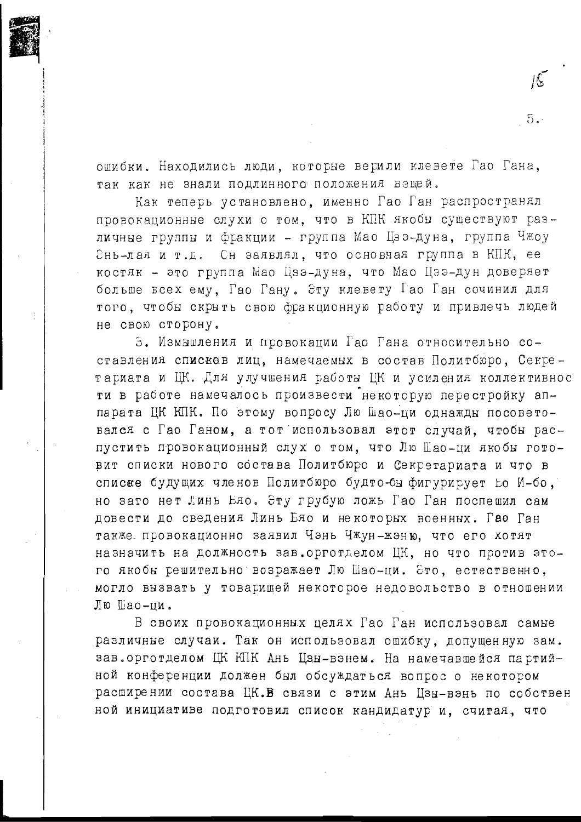ошибки. Находились люди, которые верили клевете Гао Гана, так как не знали подлинного положения вещей.

Как теперь установлено, именно Гао Ган распространял провокационные слухи о том. что в КПК якобы существуют различные группы и фракции - группа Мао Цзэ-дуна, группа Чжоу Энь-лая и т.д. Он заявлял, что основная группа в КПК, ее костяк - это группа Мао Цзэ-дуна, что Мао Цзэ-дун доверяет больше всех ему, Гао Гану. Эту клевету Гао Ган сочинил для того, чтобы скрыть свою фракционную работу и привлечь людей не свою сторону.

5. Измышления и провокации Гао Гана относительно составления списков лиц, намечаемых в состав Политбюро, Секретариата и ЦК. Для улучшения работы ЦК и усиления коллективнос ти в работе намечалось произвести некоторую перестройку аппарата ЦК КПК. По этому вопросу Лю Шао-ци однажды посоветовался с Гао Ганом, а тот использовал этот случай, чтобы распустить провокационный слух о том, что Лю Шао-ци якобы готовит списки нового состава Политбюро и Секретариата и что в списке будущих членов Политбюро будто-бы фигурирует Ео И-бо, но зато нет Линь Ело. Эту грубую ложь Гао Ган поспешил сам довести до сведения Линь Бяо и некоторых военных. Гао Ган также провокационно заявил Чэнь Чжун-жэню, что его хотят назначить на должность зав. орготделом ЦК, но что против этого якобы решительно возражает Лю Шао-ци. Это, естественно, могло вызвать у товарищей некоторое недовольство в отношении Лю Шао-ии.

В своих провокационных целях Гао Ган использовал самые различные случаи. Так он использовал ошибку, допущенную зам. зав. орготделом ЦК КПК Ань Цзн-вэнем. На намечавшейся партийной конференции должен был обсуждаться вопрос о некотором расширении состава ЦК.В связи с этим Ань Цзы-вэнь по собствен ной инициативе подготовил список кандидатур и, считая, что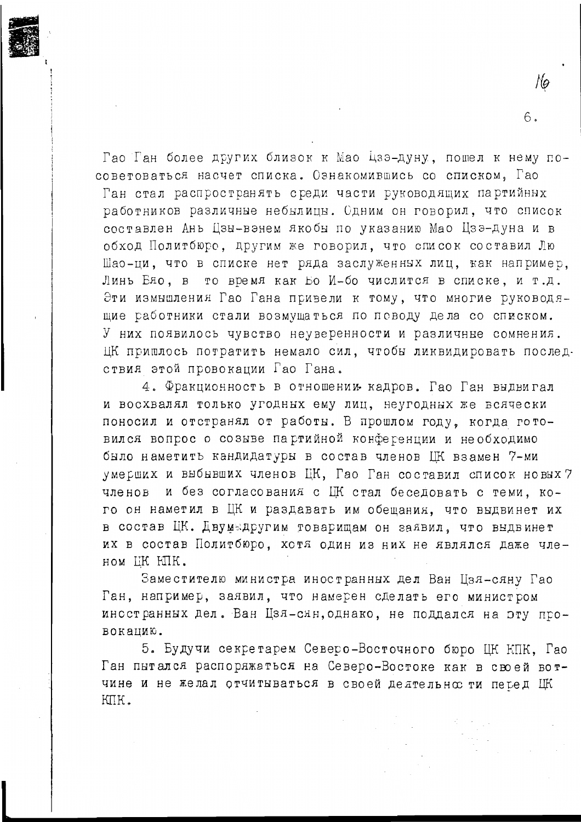Гао Ган более других близок к Мао Цзэ-дуну, пошел к нему посоветоваться насчет списка. Ознакомившись со списком, Гао Ган стал распространять среди части руководящих партийных работников различные небылицы. Сдним он говорил, что список составлен Ань Цзы-вэнем якобы по указанию Мао Цзэ-дуна и в обход Политбюро, другим же говорил, что список составил Лю Шао-ци, что в списке нет ряда заслуженных лиц, как например. Линь Еяо, в то время как Бо И-бо числится в списке, и т.д. Эти измышления Гао Гана привели к тому, что многие руководящие работники стали возмущаться по поводу дела со списком. У них появилось чувство неуверенности и различные сомнения. ЦК пришлось потратить немало сил, чтобы ликвидировать последствия этой провокании Гао Гана.

Mo

 $6.$ 

4. Фракционность в отношении кадров. Гао Ган выдвигал и восхвалял только угодных ему лиц, неугодных же всячески поносил и отстранял от работы. В прошлом году, когда готовился вопрос о созыве партийной конференции и необходимо было наметить кандидатуры в состав членов ЦК взамен 7-ми умерших и выбывших членов ЦК, Гао Ган составил список новых? членов и без согласования с ШК стал беседовать с теми, кого он наметил в ЦК и раздавать им обещания, что выдвинет их в состав ЦК. Двумыдругим товарищам он заявил, что выдвинет их в состав Политбюро, хотя один из них не являлся даже чле-HOM LIK HIIK.

Заместителю министра иностранных дел Ван Цзя-сяну Гао Ган, например, заявил, что намерен сделать его министром иностранных дел. Ван Цзя-сян, однако, не поддался на эту провоканию.

5. Будучи секретарем Северо-Восточного бюро ЦК КПК, Гао Ган пытался распоряжаться на Северо-Востоке как в своей вотчине и не желал отчитываться в своей делтельно ти перед ЦК KUK.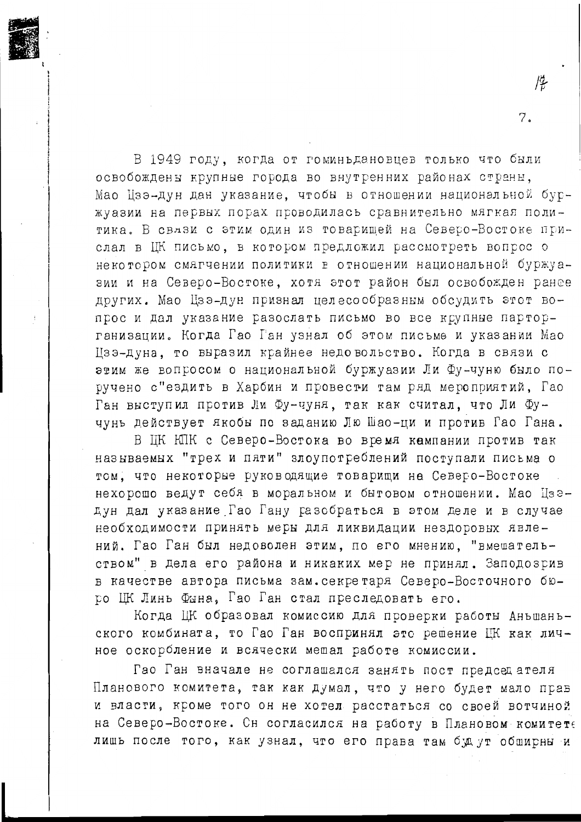В 1949 году, когда от гоминьдановцев только что были освобождены крупные города во внутренних районах страны. Мао Цзэ-дун дан указание, чтобы в отношении национальной буржуазии на первых порах проводилась сравнительно мягкая политика. В связи с этим один из товаришей на Северо-Востоке прислал в ЦК письмо, в котором предложил рассмотреть вопрос о некотором смягчении политики в отношении национальной буржуазии и на Северо-Востоке, хотя этот район был освобожден ранее других. Мао Цзэ-дун признал целесообразным обсудить этот вопрос и дал указание разослать письмо во все крупные парторганизации. Когда Гао Ган узнал об этом письме и указании Мао Цзэ-дуна, то выразил крайнее недовольство. Когда в связи с этим же вопросом о национальной буржуазии Ли Фу-чуню было поручено с"ездить в Харбин и провести там ряд мероприятий, Гао Ган выступил против Ли Фу-чуня, так как считал, что Ли Фучунь действует якобы по заданию Лю Шао-ци и против Гао Гана.

 $\overline{7}$ .

В ЦК КПК с Северо-Востока во время кампании против так называемых "трех и пяти" элоупотреблений поступали письма о том. что некоторые руководящие товарищи на Северо-Востоке нехорошо ведут себя в моральном и бытовом отношении. Мао Цзедун дал указание Гао Гану разобраться в этом деле и в случае необходимости принять меры для ликвидации нездоровых явлений. Гао Ган был недоволен этим, по его мнению, "вмешательством" в дела его района и никаких мер не принял. Заподозрив в качестве автора письма зам. секретаря Северо-Восточного бюро ШК Линь Фына. Гао Ган стал преследовать его.

Когда ЦК образовал комиссию для проверки работы Аньшаньского комбината, то Гао Ган воспринял это решение ЦК как личное оскорбление и всячески мешал работе комиссии.

Гао Ган вначале не соглашался занять пост председателя Планового комитета, так как думал, что у него будет мало прав и власти, кроме того он не хотел расстаться со своей вотчиной на Северо-Востоке. Сн согласился на работу в Плановом комитете лишь после того, как узнал, что его права там буд ут обширны и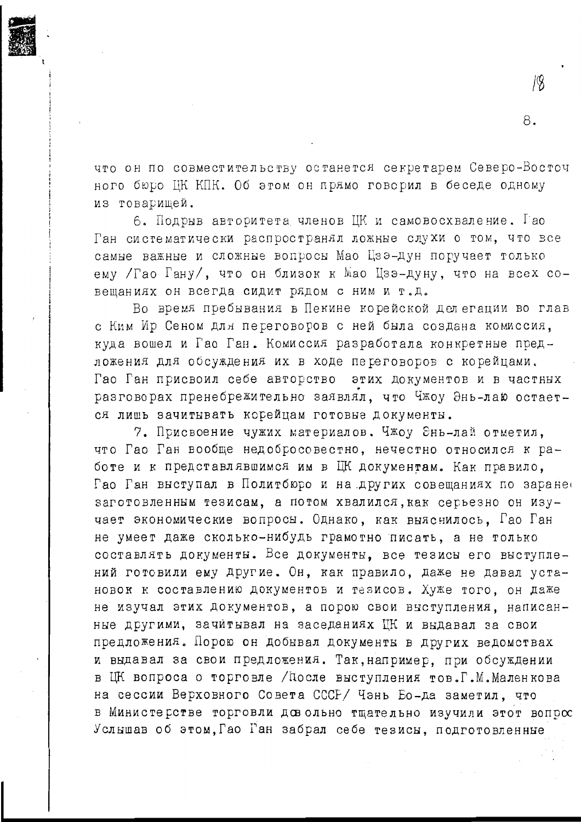

что он по совместительству останется секретарем Северо-Восточ ного бюро ЦК КПК. Об этом он прямо говорил в беседе одному из товарищей.

6. Подрыв авторитета членов ЦК и самовосхваление. Гао Ган систематически распространял ложные слухи о том, что все самые важные и сложные вопросы Мао Цзэ-дун поручает только ему /Гао Гану/, что он близок к Мао Цзэ-дуну, что на всех совещаниях он всегда сидит рядом с ним и т.д.

Во время пребывания в Пекине корейской делегации во глав с Ким Ир Сеном для переговоров с ней была создана комиссия, куда вошел и Гао Ган. Комиссия разработала конкретные предложения для обсуждения их в ходе переговоров с корейцами. Гао Ган присвоил себе авторство этих документов и в частных разговорах пренебрежительно заявлял, что Чжоу Энь-лаю остается лишь зачитывать корейцам готовые документы.

7. Присвоение чужих материалов. Чжоу Энь-лай отметил, что Гао Ган вообще недобросовестно, нечестно относился к работе и к представлявшимся им в ЦК документам. Как правило. Гао Ган выступал в Политбюро и на других совещаниях по заране заготовленным тезисам, а потом хвалился, как серьезно он изучает экономические вопросы. Однако, как выяснилось, Гао Ган не умеет даже сколько-нибудь грамотно писать, а не только составлять документы. Все документы, все тезисы его выступлений готовили ему другие. Он, как правило, даже не давал установок к составлению документов и тезисов. Хуже того, он даже не изучал этих документов, а порою свои выступления, написанные другими, зачитывал на заседаниях ЦК и выдавал за свои предложения. Порою он добывал документы в других ведомствах и выдавал за свои предложения. Так, например, при обсуждении в ЦК вопроса о торговле /После выступления тов.Г.М.Маленкова на сессии Верховного Совета СССР/ Чэнь Бо-да заметил, что в Министерстве торговли довольно тщательно изучили этот вопрос Услышав об этом, Гао Ган забрал себе тезисы, подготовленные

8.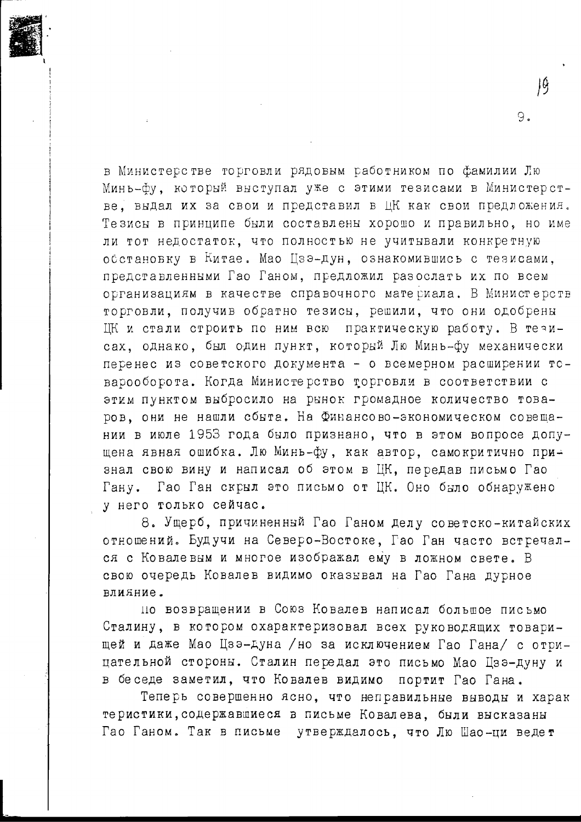в Министерстве торговли рядовым работником по фамилии Лю Минь-фу, который внступал уже с этими тезисами в Министерстве, выдал их за свои и представил в ЦК как свои предложения. Тезисы в принципе были составлены хорошо и правильно, но име ли тот недостаток, что полностью не учитывали конкретную обстановку в Китае. Мао Цзэ-дун, ознакомившись с тезисами, представленными Гао Ганом, предложил разослать их по всем организациям в качестве справочного материала. В Министерств торговли, получив обратно тезисы, решили, что они одобрены ЦК и стали строить по ним всю практическую работу. В тезисах, однако, был один пункт, который Лю Минь-фу механически перенес из советского документа - о всемерном расширении товарооборота. Когда Министерство торговли в соответствии с этим пунктом выбросило на рынок громадное количество товаров, они не нашли сбыта. На Финансово-экономическом совещании в июле 1953 года было признано, что в этом вопросе допущена явная ошибка. Лю Минь-фу, как автор, самокритично при∸ знал свою вину и написал об этом в ЦК, передав письмо Гао Гану. Гао Ган скрыл это письмо от ЦК. Оно было обнаружено у него только сейчас.

9.

8. Ущерб, причиненный Гао Ганом делу советско-китайских отношений. Будучи на Северо-Востоке, Гао Ган часто встречался с Ковалевым и многое изображал ему в ложном свете. В свою очередь Ковалев видимо оказывал на Гао Гана дурное влияние.

но возвращении в Союз Ковалев написал большое письмо Сталину, в котором охарактеризовал всех руководящих товарищей и даже Мао Цзэ-дуна /но за исключением Гао Гана/ с отрицательной стороны. Сталин передал это письмо Мао Цзэ-дуну и в беседе заметил, что Ковалев видимо портит Гао Гана.

Теперь совершенно ясно, что неправильные выводы и харак теристики, содержавшиеся в письме Ковалева, были высказаны Гао Ганом. Так в письме утверждалось, что Лю Шао-ци ведет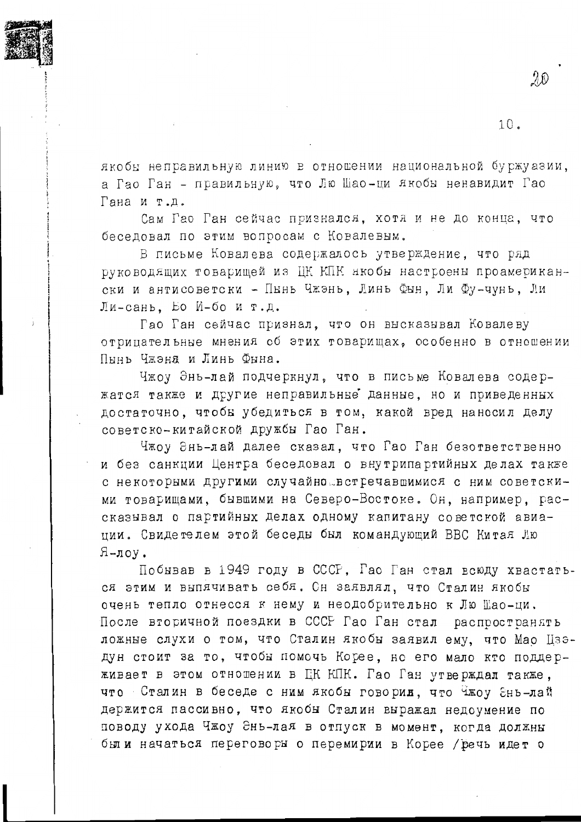

якобы неправильную линию в отношении национальной буржуазии. а Гао Ган - правильную, что Лю Шао-ци якобы ненавидит Гао Гана и т.д.

Сам Гао Ган сейчас признался, хотя и не до конца, что беседовал по этим вопросам с Ковалевым.

В письме Ковалева содержалось утверждение, что ряд руководящих товарищей из ЦК КПК якобы настроены проамерикански и антисоветски - Пынь Чжэнь, Линь Фын, Ли Фу-чунь, Ли Ли-сань. Бо И-бо и т.д.

Гао Ган сейчас признал, что он высказывал Ковалеву отрицательные мнения об этих товарищах, особенно в отношении Пынь Чжэня и Линь Фына.

Чжоу Энь-лай подчеркнул, что в письме Ковалева содержатся также и другие неправильные данные, но и приведенных достаточно, чтобы убедиться в том, какой вред наносил делу советско-китайской дружбы Гао Ган.

Чжоу Энь-лай далее сказал, что Гао Ган безответственно и без санкции Центра беседовал о внутрипартийных делах также с некоторыми другими случайно встречавшимися с ним советскими товарищами, бывшими на Северо-Востоке. Он, например, рассказывал о партийных делах одному капитану советской авиании. Свидетелем этой беседы был командующий ВВС Китая Jiю  $A$ -лоу.

Побывав в 1949 году в СССР. Гао Ган стал всюду хвастаться этим и выпячивать себя. Сн заявлял, что Сталин якобы очень тепло отнесся к нему и неодобрительно к Лю Шао-ци. После вторичной поездки в СССР Гао Ган стал распространять ложные слухи о том, что Сталин якобы заявил ему, что Мао Цзэдун стоит за то, чтобы помочь Корее, но его мало кто поддерживает в этом отношении в ЕК КПК. Гао Ган утверждал также. что Сталин в беседе с ним якобы говорил, что Чжоу Энь-лай держится пассивно, что якобы Сталин выражал недоумение по поводу ухода Чжоу Энь-лая в отпуск в момент. когда должны были начаться переговоры о перемирии в Корее / речь идет о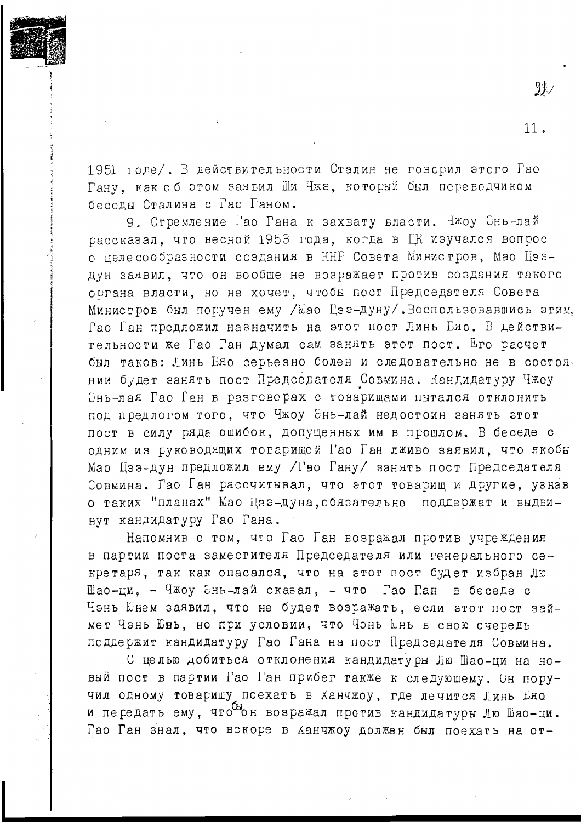

 $\mathfrak{A}\mathcal{\vee}$ 

 $11.$ 

1951 годе/. В действительности Сталин не говорил этого Гао Гану, как об этом заявил Ши Чжэ, который был переводчиком беседы Сталина с Гао Ганом.

9. Стремление Гао Гана к захвату власти. Чжоу Энь-лай рассказал, что весной 1953 года, когда в ЦК изучался вопрос о целе сообразности создания в КНР Совета Министров, Мао Цзэдун заявил, что он вообще не возражает против создания такого органа власти, но не хочет, чтобы пост Председателя Совета Министров был поручен ему / Мао Цзе-дуну/. Воспользовавшись этим. Гао Ган предложил назначить на этот пост Линь Ело. В действительности же Гао Ган думал сам занять этот пост. Его расчет был таков: Линь Бяо серьезно болен и следовательно не в состоянии будет занять пост Председателя Совмина. Кандидатуру Чжоу Энь-лая Гао Ган в разговорах с товарищами пытался отклонить под предлогом того, что Чжоу Энь-лай недостоин занять этот пост в силу ряда ошибок, допущенных им в прошлом. В беседе с одним из руководящих товарищей Гао Ган лживо заявил, что якобы Мао Цзэ-дун предложил ему /Гао Гану/ занять пост Председателя Совмина. Гао Ган рассчитывал, что этот товарищ и другие, узнав о таких "планах" Мао Цзэ-дуна, обязательно поддержат и выдвинут кандидатуру Гао Гана.

Напомнив о том, что Гао Ган возражал против учреждения в партии поста заместителя Председателя или генерального секретаря, так как опасался, что на этот пост будет избран Лю Шао-ци, - Чжоу Энь-лай сказал, - что Гао Пан в беседе с Чэнь Юнем заявил, что не будет возражать, если этот пост займет Чэнь Юнь, но при условии, что Чэнь кнь в свою очередь поддержит кандидатуру Гао Гана на пост Председателя Совмина.

С целью добиться отклонения кандидатуры Лю Шао-ци на новый пост в партии Гао Ган прибег также к следующему. Он поручил одному товаришу поехать в Ханчжоу, где лечится Линь Еяо и пегедать ему, чтобы возражал против кандидатуры Лю Шао-ци. Гао Ган знал, что вскоре в ханчжоу должен был поехать на от-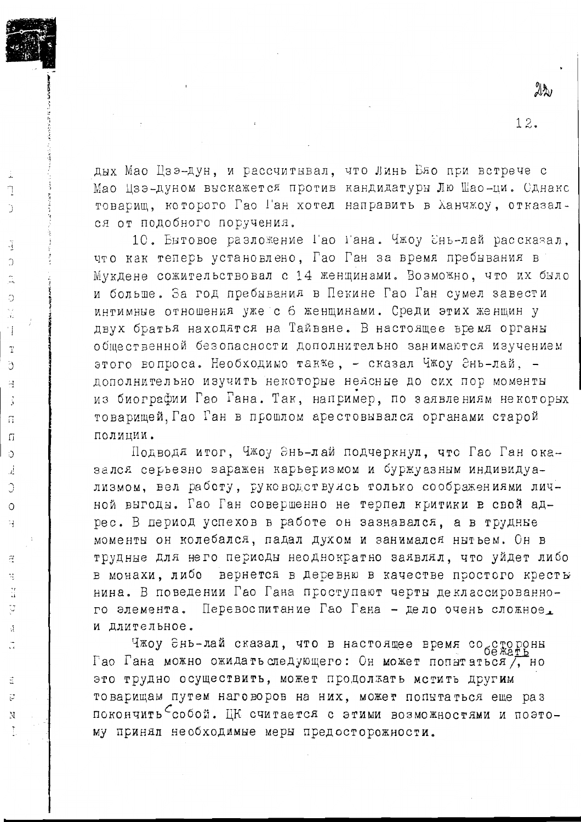дых Мао Цзэ-дун, и рассчитывал, что Линь Бяо при встрече с Мао Цзэ-дуном выскажется против кандидатуры Лю Шао-ци. Сднакс товарищ, которого Гао Ган хотел направить в Ханчжоу, отказался от подобного поручения.

F

Ű

Ą

 $\bigcirc$ 

 $\circ$ 

Ħ

 $\overline{\mathrm{T}}$ 

ð

Ė

Ġ

 $\overline{\Pi}$ 

 $\sqrt{1}$ 

Ő

j.

C

 $\circ$ 

 $\frac{1}{2}$ 

 $\tilde{a}$ 

÷,

ă þ

Å

Ë

p

N

10. Бытовое разложение Гао Гана. Чжоу Энь-лай рассказал. что как теперь установлено. Гао Ган за время пребывания в Мукдене сожительствовал с 14 женщинами. Возможно, что их было и больше. За год пребывания в Пекине Гао Ган сумел завести интимные отношения уже с 6 женщинами. Среди этих женщин у двух братья находятся на Тайване. В настоящее время органы общественной безопасности дополнительно занимаются изучением этого вопроса. Необходимо также, - сказал Чжоу Энь-лай. дополнительно изучить некоторые неясные до сих пор моменты из биографии Гао Гана. Так, например, по заявлениям некоторых товарищей, Гао Ган в прошлом арестовывался органами старой полинии.

Подводя итог, Чжоу Энь-лай подчеркнул, что Гао Ган оказался серьезно заражен карьеризмом и буржуазным индивидуализмом, вел работу, руководствулсь только соображениями личной выгоды. Гао Ган совершенно не терпел критики в свой адрес. В период успехов в работе он зазнавался, а в трудные моменты он колебался, падал духом и занимался нытьем. Он в трудные для него периоды неоднократно заявлял, что уйдет либо в монахи, либо вернется в деревню в качестве простого кресты нина. В поведении Гао Гана проступают черты деклассированно-Перевоспитание Гао Гана - дело очень сложное. го элемента. и длительное.

Чжоу Әнь-лай сказал, что в настоящее время со стророны Гао Гана можно ожидать следующего: Он может попытаться , но это трудно осуществить, может продолжать мстить другим товарищам путем наговоров на них, может попытаться еще раз покончить <sup>C</sup>собой. ЦК считается с этими возможностями и поэтому принял необходимые меры предосторожности.

 $22<sub>1</sub>$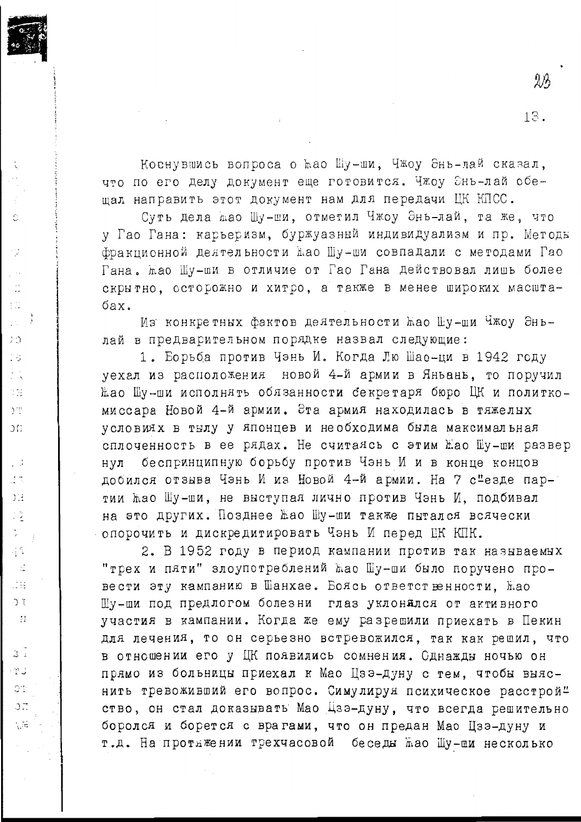Коенувшись вопроса о ћао Шу-ши, Чжоу Энь-лай сказал, что по его делу документ еще готовится. Чжоу Энь-лай обешал направить этот документ нам для передачи ЦК КПСС.

 $\ddot{\cdot}$ 

Ó

12

 $\mathbb{C}^1$ ŧΰ

 $3:2$ 

18

Ń.

374

D ili

 $\Im \Omega$ 

СĠ

 $\pm$  7.

 $2^{12}$ 

 $\frac{1}{2}$   $\frac{5}{2}$ 

 $\hat{z}$ 

금요

 $\leq$  $\pm 14$ 

 $\mathcal{L}$ 

 $\mathcal{H}$ 

 $\mathbb{R}^{\mathbb{Z}}$ 

ra c

0t

 $\Im$   $\vec{E}$ 

**View** 

Суть дела жао Шу-ши, отметил Чжоу Энь-лай, та же, что у Гао Гана: карьеризм, буржуазный индивидуализм и пр. Методы фракционной деятельности жао Шу-ши совпадали с методами Гао Гана. жао Шу-ши в отличие от Гао Гана действовал лишь более скрытно, осторожно и хитро, а также в менее широких масштабах.

Из конкретных фактов деятельности жао Шу-ши Чжоу Эньлай в предварительном порядке назвал следующие:

1. Борьба против Чэнь И. Когда Лю Шао-ци в 1942 году уехал из расположения новой 4-й армии в Яньань, то поручил Жао Шу-ши исполнять обязанности секретаря бюро ЦК и политкомиссара Новой 4-й армии. Эта армия находилась в тяжелых условиях в тылу у японцев и необходима была максимальная сплоченность в ее рядах. Не считаясь с этим Жао Шу-ши развер нул беспринципную борьбу против Чэнь И и в конце концов добился отзыва Чэнь И из Новой 4-й армии. На 7 с"езде партии жао Шу-ши, не выступая лично против Чэнь И, подбивал на это других. Позднее Жао Шу-ши также пытался всячески опорочить и дискредитировать Чэнь И перед ЦК КПК.

2. В 1952 году в период кампании против так называемых "трех и пяти" злоупотреблений жао Шу-ши было поручено провести эту кампанию в Шанхае. Боясь ответственности, Жао Шу-ши под предлогом болезни глаз уклонялся от активного участия в кампании. Когда же ему разрешили приехать в Пекин для лечения, то он серьезно встревожился, так как решил, что в отношении его у ЦК появились сомнения. Сднажды ночью он прямо из больницы приехал к Мао Цзэ-дуну с тем, чтобы выяснить тревоживший его вопрос. Симулируя психическое расстрой" ство, он стал доказывать Мао Цзэ-дуну, что всегда решительно боролся и борется с врагами, что он предан Мао Цзэ-дуну и т.д. На протяжении трехчасовой беседы жао Шу-ши несколько

 $2\%$ 

13.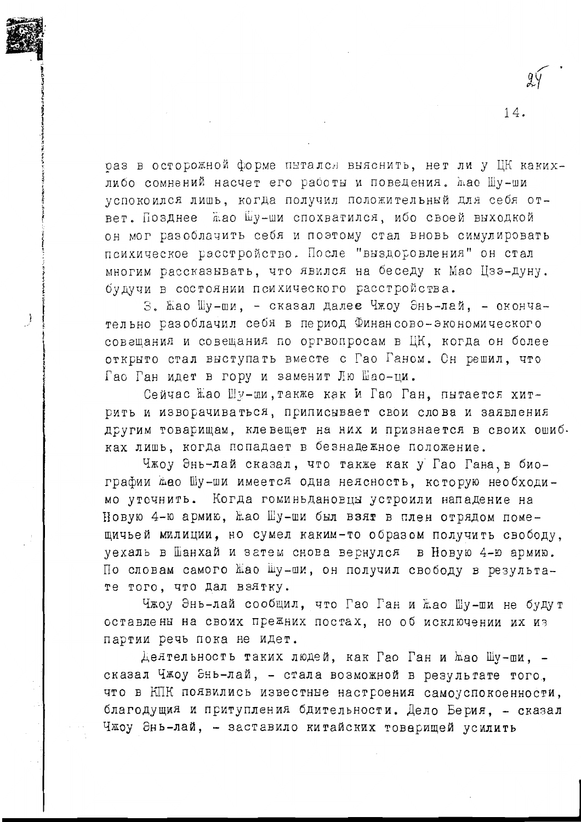раз в осторожной форме пытался выяснить, нет ли у ЦК какихлибо сомнений насчет его работы и поведения. жао Шу-ши успокоился лишь, когда получил положительный для себя ответ. Позднее жао Шу-ши спохватился, ибо своей выходкой он мог разоблачить себя и поэтому стал вновь симулировать психическое расстройство. После "выздоровления" он стал многим рассказывать, что явился на беседу к Мао Цзэ-дуну. будучи в состоянии психического расстройства.

14.

3. Жао Шу-ши, - сказал далее Чжоу Энь-лай. - окончательно разоблачил себя в период Финансово-экономического совещания и совещания по оргвопросам в ЦК, когда он более открыто стал выступать вместе с Гао Ганом. Он решил, что Гао Ган идет в гору и заменит Лю Шао-пи.

Сейчас Жао Шу-ши, также как и Гао Ган, пытается хитрить и изворачиваться, приписывает свои слова и заявления другим товарищам, клевещет на них и признается в своих ошиб. ках лишь, когда попадает в безнадежное положение.

Чжоу Энь-лай сказал, что также как у Гао Гана, в биографии жао Шу-ши имеется одна неясность, которую необходимо уточнить. Когда гоминьдановцы устроили нападение на Новую 4-ю армию, Жао Шу-ши был взят в плен отрядом помещичьей милиции, но сумел каким-то образом получить свободу, уехаль в Шанхай и затем снова вернулся в Новую 4-ю армию. По словам самого Жао Шу-ши, он получил свободу в результате того, что дал взятку.

Чжоу Энь-лай сообщил, что Гао Ган и Жао Шу-ши не будут оставлены на своих прежних постах, но об исключении их из партии речь пока не идет.

Деятельность таких людей, как Гао Ган и мао Шу-ши, сказал Чжоу Энь-лай, - стала возможной в результате того, что в КПК появились известные настроения самоуспокоенности, благодущия и притупления бдительности. Дело Берия, - сказал Чжоу Энь-лай, - заставило китайских товерищей усилить